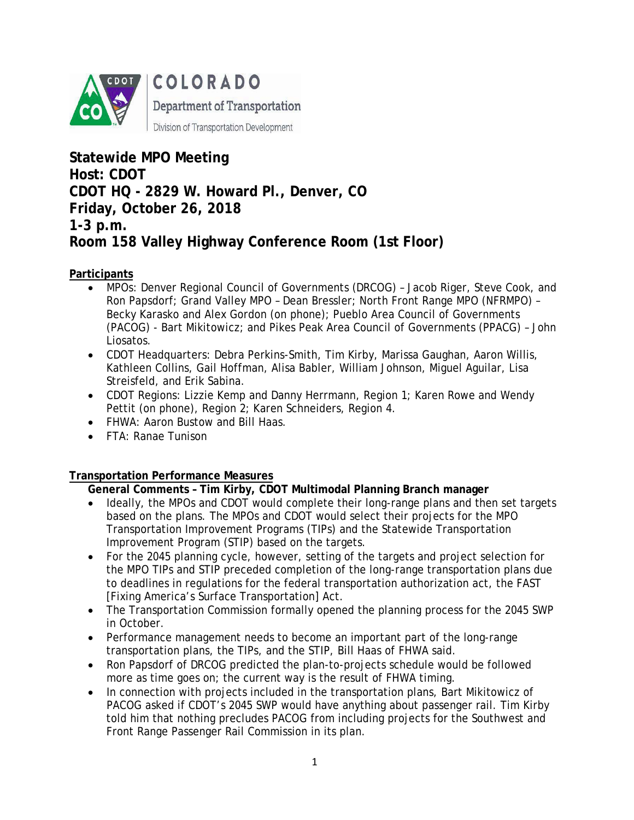

COLORADO Department of Transportation Division of Transportation Development

**Statewide MPO Meeting Host: CDOT CDOT HQ - 2829 W. Howard Pl., Denver, CO Friday, October 26, 2018 1-3 p.m. Room 158 Valley Highway Conference Room (1st Floor)**

# **Participants**

- MPOs: Denver Regional Council of Governments (DRCOG) Jacob Riger, Steve Cook, and Ron Papsdorf; Grand Valley MPO – Dean Bressler; North Front Range MPO (NFRMPO) – Becky Karasko and Alex Gordon (on phone); Pueblo Area Council of Governments (PACOG) - Bart Mikitowicz; and Pikes Peak Area Council of Governments (PPACG) – John Liosatos.
- CDOT Headquarters: Debra Perkins-Smith, Tim Kirby, Marissa Gaughan, Aaron Willis, Kathleen Collins, Gail Hoffman, Alisa Babler, William Johnson, Miguel Aguilar, Lisa Streisfeld, and Erik Sabina.
- CDOT Regions: Lizzie Kemp and Danny Herrmann, Region 1; Karen Rowe and Wendy Pettit (on phone), Region 2; Karen Schneiders, Region 4.
- FHWA: Aaron Bustow and Bill Haas.
- FTA: Ranae Tunison

# **Transportation Performance Measures**

**General Comments – Tim Kirby, CDOT Multimodal Planning Branch manager**

- Ideally, the MPOs and CDOT would complete their long-range plans and then set targets based on the plans. The MPOs and CDOT would select their projects for the MPO Transportation Improvement Programs (TIPs) and the Statewide Transportation Improvement Program (STIP) based on the targets.
- For the 2045 planning cycle, however, setting of the targets and project selection for the MPO TIPs and STIP preceded completion of the long-range transportation plans due to deadlines in regulations for the federal transportation authorization act, the FAST [Fixing America's Surface Transportation] Act.
- The Transportation Commission formally opened the planning process for the 2045 SWP in October.
- Performance management needs to become an important part of the long-range transportation plans, the TIPs, and the STIP, Bill Haas of FHWA said.
- Ron Papsdorf of DRCOG predicted the plan-to-projects schedule would be followed more as time goes on; the current way is the result of FHWA timing.
- In connection with projects included in the transportation plans, Bart Mikitowicz of PACOG asked if CDOT's 2045 SWP would have anything about passenger rail. Tim Kirby told him that nothing precludes PACOG from including projects for the Southwest and Front Range Passenger Rail Commission in its plan.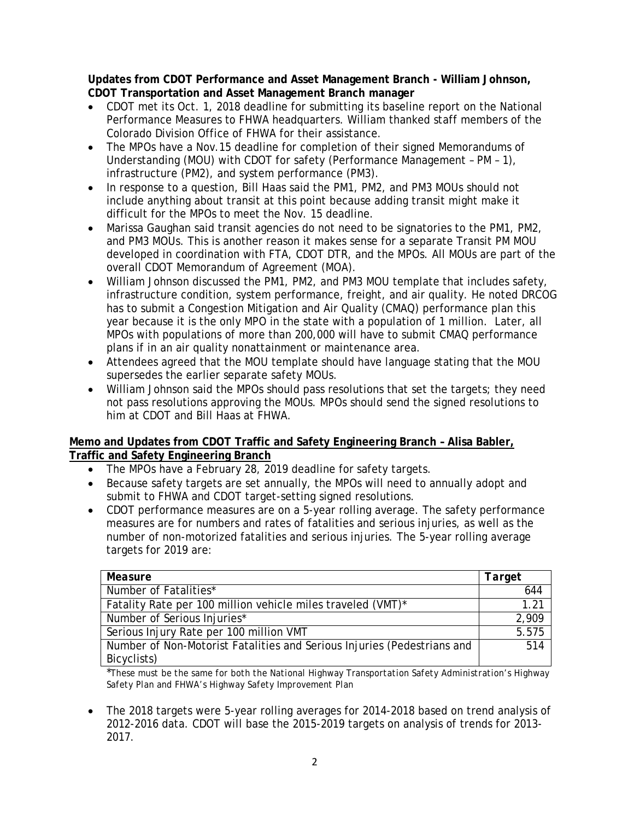**Updates from CDOT Performance and Asset Management Branch - William Johnson, CDOT Transportation and Asset Management Branch manager**

- CDOT met its Oct. 1, 2018 deadline for submitting its baseline report on the National Performance Measures to FHWA headquarters. William thanked staff members of the Colorado Division Office of FHWA for their assistance.
- The MPOs have a Nov.15 deadline for completion of their signed Memorandums of Understanding (MOU) with CDOT for safety (Performance Management – PM – 1), infrastructure (PM2), and system performance (PM3).
- In response to a question, Bill Haas said the PM1, PM2, and PM3 MOUs should not include anything about transit at this point because adding transit might make it difficult for the MPOs to meet the Nov. 15 deadline.
- Marissa Gaughan said transit agencies do not need to be signatories to the PM1, PM2, and PM3 MOUs. This is another reason it makes sense for a separate Transit PM MOU developed in coordination with FTA, CDOT DTR, and the MPOs. All MOUs are part of the overall CDOT Memorandum of Agreement (MOA).
- William Johnson discussed the PM1, PM2, and PM3 MOU template that includes safety, infrastructure condition, system performance, freight, and air quality. He noted DRCOG has to submit a Congestion Mitigation and Air Quality (CMAQ) performance plan this year because it is the only MPO in the state with a population of 1 million. Later, all MPOs with populations of more than 200,000 will have to submit CMAQ performance plans if in an air quality nonattainment or maintenance area.
- Attendees agreed that the MOU template should have language stating that the MOU supersedes the earlier separate safety MOUs.
- William Johnson said the MPOs should pass resolutions that set the targets; they need not pass resolutions approving the MOUs. MPOs should send the signed resolutions to him at CDOT and Bill Haas at FHWA.

### **Memo and Updates from CDOT Traffic and Safety Engineering Branch – Alisa Babler, Traffic and Safety Engineering Branch**

- The MPOs have a February 28, 2019 deadline for safety targets.
- Because safety targets are set annually, the MPOs will need to annually adopt and submit to FHWA and CDOT target-setting signed resolutions.
- CDOT performance measures are on a 5-year rolling average. The safety performance measures are for numbers and rates of fatalities and serious injuries, as well as the number of non-motorized fatalities and serious injuries. The 5-year rolling average targets for 2019 are:

| Measure                                                                 | Target           |
|-------------------------------------------------------------------------|------------------|
| Number of Fatalities*                                                   | 644              |
| Fatality Rate per 100 million vehicle miles traveled (VMT)*             | 1.21             |
| Number of Serious Injuries*                                             | 2,909            |
| Serious Injury Rate per 100 million VMT                                 | 5.575            |
| Number of Non-Motorist Fatalities and Serious Injuries (Pedestrians and | $\overline{514}$ |
| Bicyclists)                                                             |                  |

\**These must be the same for both the National Highway Transportation Safety Administration's Highway Safety Plan and FHWA's Highway Safety Improvement Plan*

• The 2018 targets were 5-year rolling averages for 2014-2018 based on trend analysis of 2012-2016 data. CDOT will base the 2015-2019 targets on analysis of trends for 2013- 2017.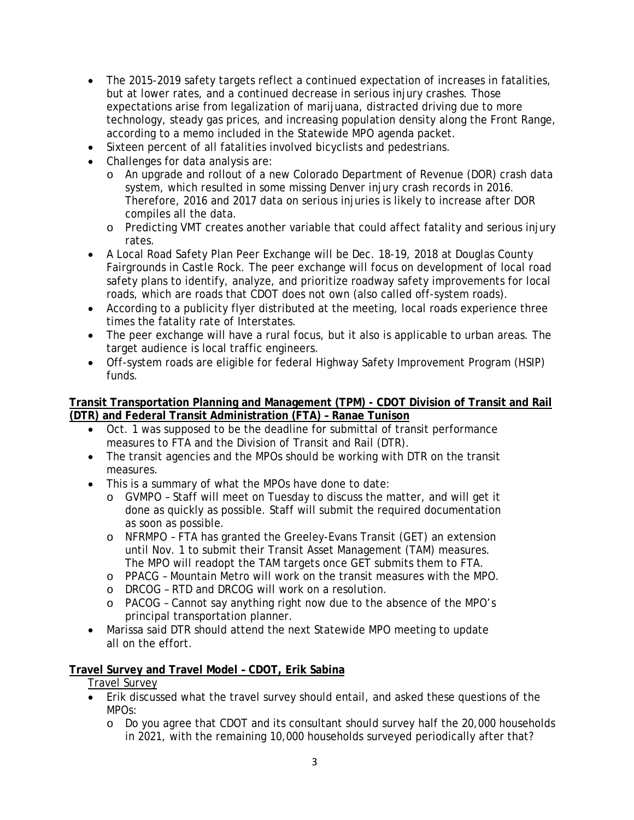- The 2015-2019 safety targets reflect a continued expectation of increases in fatalities, but at lower rates, and a continued decrease in serious injury crashes. Those expectations arise from legalization of marijuana, distracted driving due to more technology, steady gas prices, and increasing population density along the Front Range, according to a memo included in the Statewide MPO agenda packet.
- Sixteen percent of all fatalities involved bicyclists and pedestrians.
- Challenges for data analysis are:
	- o An upgrade and rollout of a new Colorado Department of Revenue (DOR) crash data system, which resulted in some missing Denver injury crash records in 2016. Therefore, 2016 and 2017 data on serious injuries is likely to increase after DOR compiles all the data.
	- o Predicting VMT creates another variable that could affect fatality and serious injury rates.
- A Local Road Safety Plan Peer Exchange will be Dec. 18-19, 2018 at Douglas County Fairgrounds in Castle Rock. The peer exchange will focus on development of local road safety plans to identify, analyze, and prioritize roadway safety improvements for local roads, which are roads that CDOT does not own (also called off-system roads).
- According to a publicity flyer distributed at the meeting, local roads experience three times the fatality rate of Interstates.
- The peer exchange will have a rural focus, but it also is applicable to urban areas. The target audience is local traffic engineers.
- Off-system roads are eligible for federal Highway Safety Improvement Program (HSIP) funds.

### **Transit Transportation Planning and Management (TPM) - CDOT Division of Transit and Rail (DTR) and Federal Transit Administration (FTA) – Ranae Tunison**

- Oct. 1 was supposed to be the deadline for submittal of transit performance measures to FTA and the Division of Transit and Rail (DTR).
- The transit agencies and the MPOs should be working with DTR on the transit measures.
- This is a summary of what the MPOs have done to date:
	- o GVMPO Staff will meet on Tuesday to discuss the matter, and will get it done as quickly as possible. Staff will submit the required documentation as soon as possible.
	- o NFRMPO FTA has granted the Greeley-Evans Transit (GET) an extension until Nov. 1 to submit their Transit Asset Management (TAM) measures. The MPO will readopt the TAM targets once GET submits them to FTA.
	- o PPACG Mountain Metro will work on the transit measures with the MPO.
	- o DRCOG RTD and DRCOG will work on a resolution.
	- o PACOG Cannot say anything right now due to the absence of the MPO's principal transportation planner.
- Marissa said DTR should attend the next Statewide MPO meeting to update all on the effort.

# **Travel Survey and Travel Model – CDOT, Erik Sabina**

Travel Survey

- Erik discussed what the travel survey should entail, and asked these questions of the MPOs:
	- o Do you agree that CDOT and its consultant should survey half the 20,000 households in 2021, with the remaining 10,000 households surveyed periodically after that?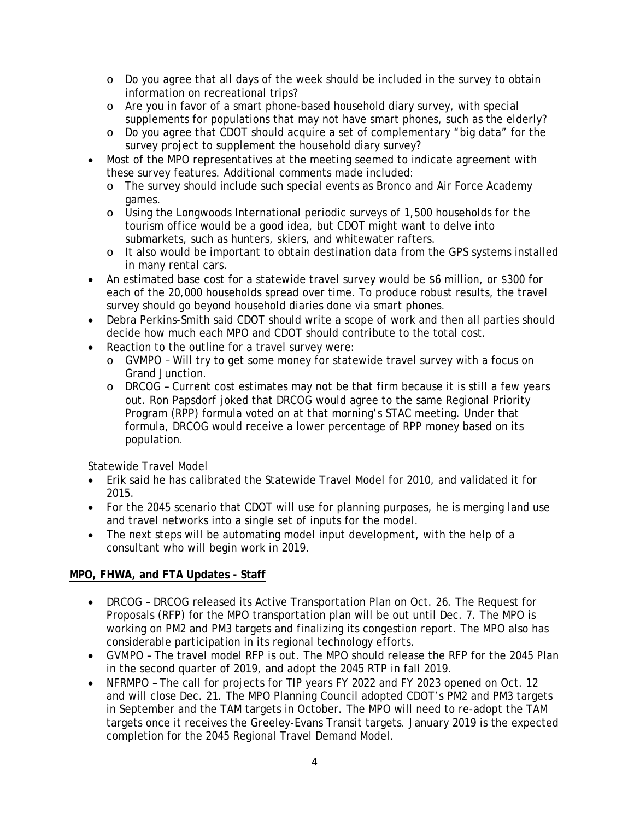- o Do you agree that all days of the week should be included in the survey to obtain information on recreational trips?
- o Are you in favor of a smart phone-based household diary survey, with special supplements for populations that may not have smart phones, such as the elderly?
- o Do you agree that CDOT should acquire a set of complementary "big data" for the survey project to supplement the household diary survey?
- Most of the MPO representatives at the meeting seemed to indicate agreement with these survey features. Additional comments made included:
	- o The survey should include such special events as Bronco and Air Force Academy games.
	- o Using the Longwoods International periodic surveys of 1,500 households for the tourism office would be a good idea, but CDOT might want to delve into submarkets, such as hunters, skiers, and whitewater rafters.
	- o It also would be important to obtain destination data from the GPS systems installed in many rental cars.
- An estimated base cost for a statewide travel survey would be \$6 million, or \$300 for each of the 20,000 households spread over time. To produce robust results, the travel survey should go beyond household diaries done via smart phones.
- Debra Perkins-Smith said CDOT should write a scope of work and then all parties should decide how much each MPO and CDOT should contribute to the total cost.
- Reaction to the outline for a travel survey were:
	- o GVMPO Will try to get some money for statewide travel survey with a focus on Grand Junction.
	- o DRCOG Current cost estimates may not be that firm because it is still a few years out. Ron Papsdorf joked that DRCOG would agree to the same Regional Priority Program (RPP) formula voted on at that morning's STAC meeting. Under that formula, DRCOG would receive a lower percentage of RPP money based on its population.

#### Statewide Travel Model

- Erik said he has calibrated the Statewide Travel Model for 2010, and validated it for 2015.
- For the 2045 scenario that CDOT will use for planning purposes, he is merging land use and travel networks into a single set of inputs for the model.
- The next steps will be automating model input development, with the help of a consultant who will begin work in 2019.

# **MPO, FHWA, and FTA Updates - Staff**

- *DRCOG* DRCOG released its Active Transportation Plan on Oct. 26. The Request for Proposals (RFP) for the MPO transportation plan will be out until Dec. 7. The MPO is working on PM2 and PM3 targets and finalizing its congestion report. The MPO also has considerable participation in its regional technology efforts.
- *GVMPO* The travel model RFP is out. The MPO should release the RFP for the 2045 Plan in the second quarter of 2019, and adopt the 2045 RTP in fall 2019.
- *NFRMPO* The call for projects for TIP years FY 2022 and FY 2023 opened on Oct. 12 and will close Dec. 21. The MPO Planning Council adopted CDOT's PM2 and PM3 targets in September and the TAM targets in October. The MPO will need to re-adopt the TAM targets once it receives the Greeley-Evans Transit targets. January 2019 is the expected completion for the 2045 Regional Travel Demand Model.